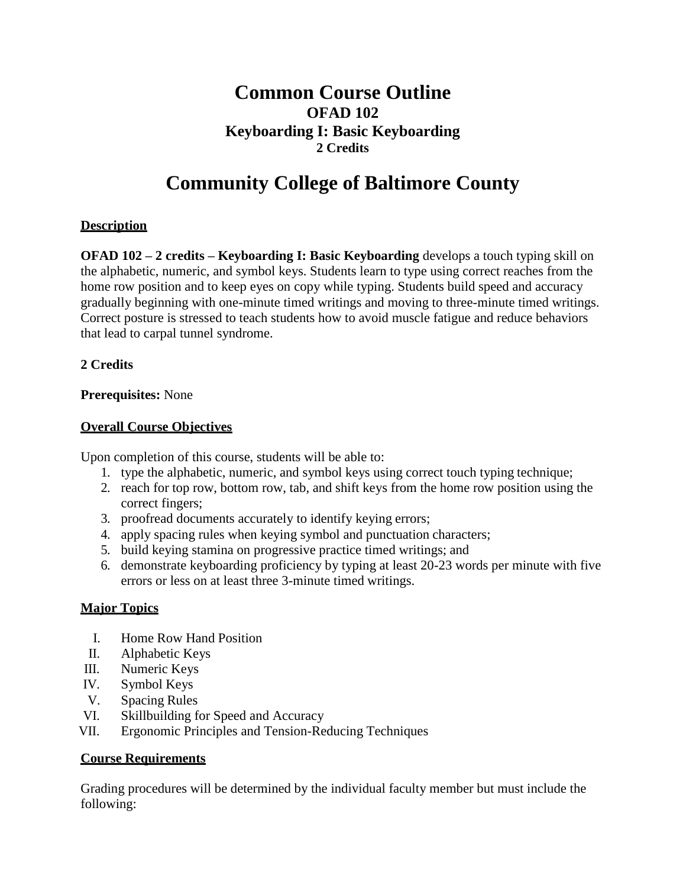# **Common Course Outline OFAD 102 Keyboarding I: Basic Keyboarding 2 Credits**

# **Community College of Baltimore County**

# **Description**

**OFAD 102 – 2 credits – Keyboarding I: Basic Keyboarding** develops a touch typing skill on the alphabetic, numeric, and symbol keys. Students learn to type using correct reaches from the home row position and to keep eyes on copy while typing. Students build speed and accuracy gradually beginning with one-minute timed writings and moving to three-minute timed writings. Correct posture is stressed to teach students how to avoid muscle fatigue and reduce behaviors that lead to carpal tunnel syndrome.

### **2 Credits**

# **Prerequisites:** None

### **Overall Course Objectives**

Upon completion of this course, students will be able to:

- 1. type the alphabetic, numeric, and symbol keys using correct touch typing technique;
- 2. reach for top row, bottom row, tab, and shift keys from the home row position using the correct fingers;
- 3. proofread documents accurately to identify keying errors;
- 4. apply spacing rules when keying symbol and punctuation characters;
- 5. build keying stamina on progressive practice timed writings; and
- 6. demonstrate keyboarding proficiency by typing at least 20-23 words per minute with five errors or less on at least three 3-minute timed writings.

### **Major Topics**

- I. Home Row Hand Position
- II. Alphabetic Keys
- III. Numeric Keys
- IV. Symbol Keys
- V. Spacing Rules
- VI. Skillbuilding for Speed and Accuracy
- VII. Ergonomic Principles and Tension-Reducing Techniques

### **Course Requirements**

Grading procedures will be determined by the individual faculty member but must include the following: